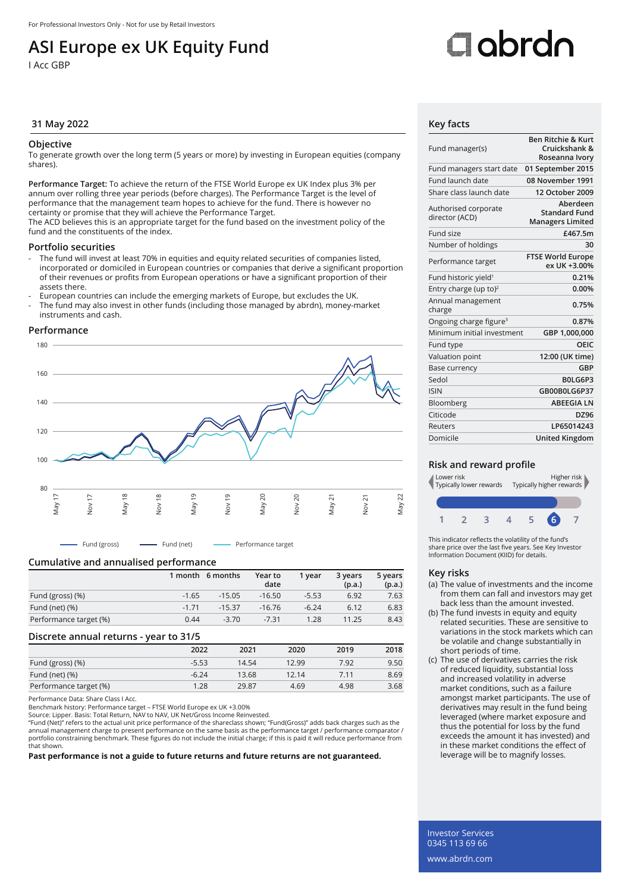## **ASI Europe ex UK Equity Fund**

I Acc GBP

# Oobrdo

#### **31 May 2022 Key facts**

#### **Objective**

To generate growth over the long term (5 years or more) by investing in European equities (company shares).

**Performance Target:** To achieve the return of the FTSE World Europe ex UK Index plus 3% per annum over rolling three year periods (before charges). The Performance Target is the level of performance that the management team hopes to achieve for the fund. There is however no certainty or promise that they will achieve the Performance Target.

The ACD believes this is an appropriate target for the fund based on the investment policy of the fund and the constituents of the index.

#### **Portfolio securities**

- The fund will invest at least 70% in equities and equity related securities of companies listed, incorporated or domiciled in European countries or companies that derive a significant proportion of their revenues or profits from European operations or have a significant proportion of their assets there.
- European countries can include the emerging markets of Europe, but excludes the UK.
- The fund may also invest in other funds (including those managed by abrdn), money-market instruments and cash.

#### **Performance**



Fund (gross) Fund (net) Performance target

#### **Cumulative and annualised performance**

|                        |         | 1 month 6 months | Year to<br>date | 1 vear  | 3 years<br>(p.a.) | 5 years<br>(p.a.) |
|------------------------|---------|------------------|-----------------|---------|-------------------|-------------------|
| Fund (gross) (%)       | $-1.65$ | $-15.05$         | $-16.50$        | $-5.53$ | 6.92              | 7.63              |
| Fund (net) $(\%)$      | $-1.71$ | $-15.37$         | $-16.76$        | $-6.24$ | 6.12              | 6.83              |
| Performance target (%) | 0.44    | $-3.70$          | $-7.31$         | 1.28    | 11.25             | 8.43              |

#### **Discrete annual returns - year to 31/5**

|                        | 2022    | 2021  | 2020  | 2019 | 2018 |
|------------------------|---------|-------|-------|------|------|
| Fund (gross) (%)       | $-5.53$ | 14.54 | 12.99 | 7.92 | 9.50 |
| Fund (net) $(\%)$      | $-6.24$ | 13.68 | 12.14 | 7.11 | 8.69 |
| Performance target (%) | 1.28    | 29.87 | 4.69  | 4.98 | 3.68 |

Performance Data: Share Class I Acc.

Benchmark history: Performance target – FTSE World Europe ex UK +3.00%

Source: Lipper. Basis: Total Return, NAV to NAV, UK Net/Gross Income Reinvested.

"Fund (Net)" refers to the actual unit price performance of the shareclass shown; "Fund(Gross)" adds back charges such as the annual management charge to present performance on the same basis as the performance target / performance comparator /<br>portfolio constraining benchmark. These figures do not include the initial charge; if this is paid it w that shown.

**Past performance is not a guide to future returns and future returns are not guaranteed.**

| Fund manager(s)                        | <b>Ben Ritchie &amp; Kurt</b><br>Cruickshank &<br>Roseanna Ivory |
|----------------------------------------|------------------------------------------------------------------|
| Fund managers start date               | 01 September 2015                                                |
| Fund launch date                       | 08 November 1991                                                 |
| Share class launch date                | 12 October 2009                                                  |
| Authorised corporate<br>director (ACD) | Aberdeen<br><b>Standard Fund</b><br><b>Managers Limited</b>      |
| Fund size                              | £467.5m                                                          |
| Number of holdings                     | 30                                                               |
| Performance target                     | <b>FTSE World Europe</b><br>ex UK +3.00%                         |
| Fund historic yield <sup>1</sup>       | 0.21%                                                            |
| Entry charge (up to) <sup>2</sup>      | 0.00%                                                            |
| Annual management<br>charge            | 0.75%                                                            |
| Ongoing charge figure <sup>3</sup>     | 0.87%                                                            |
| Minimum initial investment             | GBP 1,000,000                                                    |
| Fund type                              | OEIC                                                             |
| Valuation point                        | 12:00 (UK time)                                                  |
| Base currency                          | GBP                                                              |
| Sedol                                  | BOLG6P3                                                          |
| <b>ISIN</b>                            | GB00B0LG6P37                                                     |
| Bloomberg                              | <b>ABEEGIALN</b>                                                 |
| Citicode                               | DZ96                                                             |
| Reuters                                | LP65014243                                                       |
| Domicile                               | United Kingdom                                                   |

#### **Risk and reward profile**



This indicator reflects the volatility of the fund's share price over the last five years. See Key Investor Information Document (KIID) for details.

#### **Key risks**

- (a) The value of investments and the income from them can fall and investors may get back less than the amount invested.
- (b) The fund invests in equity and equity related securities. These are sensitive to variations in the stock markets which can be volatile and change substantially in short periods of time.
- (c) The use of derivatives carries the risk of reduced liquidity, substantial loss and increased volatility in adverse market conditions, such as a failure amongst market participants. The use of derivatives may result in the fund being leveraged (where market exposure and thus the potential for loss by the fund exceeds the amount it has invested) and in these market conditions the effect of leverage will be to magnify losses.

Investor Services 0345 113 69 66 www.abrdn.com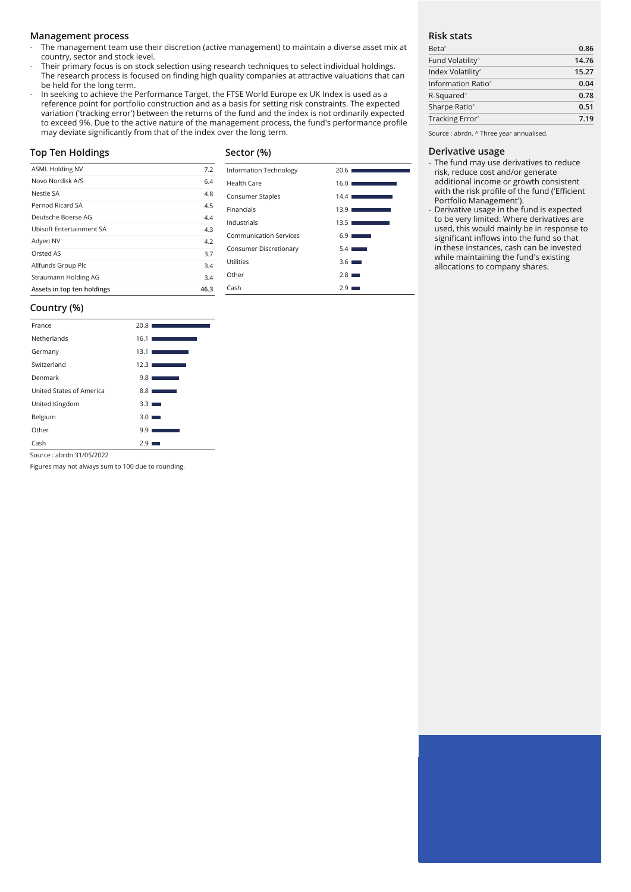#### **Management process**

- The management team use their discretion (active management) to maintain a diverse asset mix at country, sector and stock level.
- Their primary focus is on stock selection using research techniques to select individual holdings. The research process is focused on finding high quality companies at attractive valuations that can be held for the long term.
- In seeking to achieve the Performance Target, the FTSE World Europe ex UK Index is used as a reference point for portfolio construction and as a basis for setting risk constraints. The expected variation ('tracking error') between the returns of the fund and the index is not ordinarily expected to exceed 9%. Due to the active nature of the management process, the fund's performance profile may deviate significantly from that of the index over the long term.

#### **Top Ten Holdings**

### **Sector (%)**

| <b>ASML Holding NV</b>          | 7.2  |
|---------------------------------|------|
| Novo Nordisk A/S                | 6.4  |
| Nestle SA                       | 4.8  |
| Pernod Ricard SA                | 4.5  |
| Deutsche Boerse AG              | 4.4  |
| <b>Ubisoft Entertainment SA</b> | 4.3  |
| Adyen NV                        | 4.2  |
| Orsted AS                       | 3.7  |
| Allfunds Group Plc              | 3.4  |
| Straumann Holding AG            | 3.4  |
| Assets in top ten holdings      | 46.3 |

| Information Technology | 20.61<br><b>Service Control</b>                                                                                               |
|------------------------|-------------------------------------------------------------------------------------------------------------------------------|
| Health Care            | 16.01<br>the control of the control of the                                                                                    |
| Consumer Staples       | 14.41<br><b>Contract Contract Contract Contract Contract Contract Contract Contract Contract Contract Contract Contract C</b> |
| Financials             | 13.9 I<br><b>Service Service</b>                                                                                              |
| Industrials            | 13.51<br><u> Tanzania (</u>                                                                                                   |
| Communication Services | $6.9$ $\blacksquare$                                                                                                          |
| Consumer Discretionary | 5.4 <sub>1</sub><br>$\sim$                                                                                                    |
| Utilities              | $3.6$ $\blacksquare$                                                                                                          |
| Other                  | $2.8$ $\blacksquare$                                                                                                          |
| Cash                   | 2.9                                                                                                                           |

#### **Risk stats**

| Beta <sup>^</sup>              | 0.86  |
|--------------------------------|-------|
| Fund Volatility <sup>^</sup>   | 14.76 |
| Index Volatility <sup>^</sup>  | 15.27 |
| Information Ratio <sup>^</sup> | 0.04  |
| R-Squared <sup>^</sup>         | 0.78  |
| Sharpe Ratio <sup>^</sup>      | 0.51  |
| Tracking Error <sup>^</sup>    | 7.19  |
|                                |       |

Source : abrdn. ^ Three year annualised.

#### **Derivative usage**

- The fund may use derivatives to reduce risk, reduce cost and/or generate additional income or growth consistent with the risk profile of the fund ('Efficient Portfolio Management').
- Derivative usage in the fund is expected to be very limited. Where derivatives are used, this would mainly be in response to significant inflows into the fund so that in these instances, cash can be invested while maintaining the fund's existing allocations to company shares.

#### **Country (%)**

| France                   | 20.81<br><b>Service Service</b>                                                                                                          |
|--------------------------|------------------------------------------------------------------------------------------------------------------------------------------|
| Netherlands              | 16.1                                                                                                                                     |
| Germany                  | 13.1 <sub>1</sub><br><b>Service State</b>                                                                                                |
| Switzerland              | 12.31<br>$\mathcal{L}^{\text{max}}_{\text{max}}$ and $\mathcal{L}^{\text{max}}_{\text{max}}$ and $\mathcal{L}^{\text{max}}_{\text{max}}$ |
| Denmark                  | 9.81<br><b>Service Service</b>                                                                                                           |
| United States of America | 8.8 <sub>1</sub>                                                                                                                         |
| United Kingdom           | $3.3 \blacksquare$                                                                                                                       |
| Belgium                  | 3.0 <sub>1</sub><br><b>College</b>                                                                                                       |
| Other                    | 9.9                                                                                                                                      |
| Cash                     | 2.9                                                                                                                                      |

Source : abrdn 31/05/2022

Figures may not always sum to 100 due to rounding.